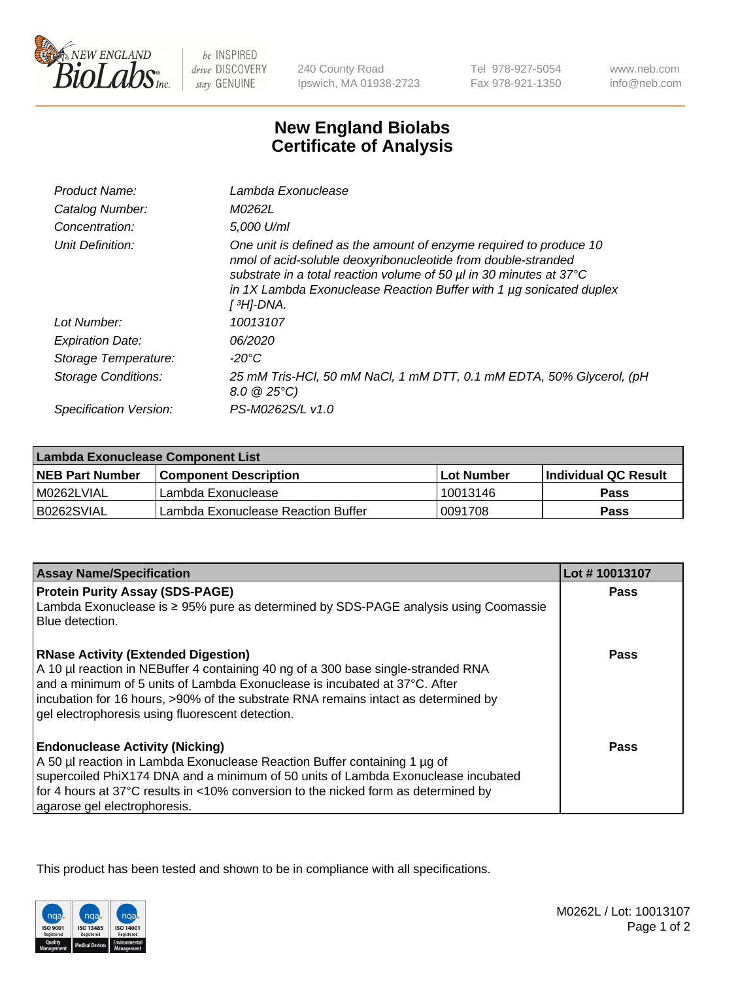

be INSPIRED drive DISCOVERY stay GENUINE

240 County Road Ipswich, MA 01938-2723

Tel 978-927-5054 Fax 978-921-1350

www.neb.com info@neb.com

## **New England Biolabs Certificate of Analysis**

| Product Name:              | Lambda Exonuclease                                                                                                                                                                                                                                                                                   |
|----------------------------|------------------------------------------------------------------------------------------------------------------------------------------------------------------------------------------------------------------------------------------------------------------------------------------------------|
| Catalog Number:            | M0262L                                                                                                                                                                                                                                                                                               |
| Concentration:             | 5.000 U/ml                                                                                                                                                                                                                                                                                           |
| Unit Definition:           | One unit is defined as the amount of enzyme required to produce 10<br>nmol of acid-soluble deoxyribonucleotide from double-stranded<br>substrate in a total reaction volume of 50 µl in 30 minutes at 37°C<br>in 1X Lambda Exonuclease Reaction Buffer with 1 $\mu$ g sonicated duplex<br>[ 3H]-DNA. |
| Lot Number:                | 10013107                                                                                                                                                                                                                                                                                             |
| <b>Expiration Date:</b>    | 06/2020                                                                                                                                                                                                                                                                                              |
| Storage Temperature:       | $-20^{\circ}$ C                                                                                                                                                                                                                                                                                      |
| <b>Storage Conditions:</b> | 25 mM Tris-HCl, 50 mM NaCl, 1 mM DTT, 0.1 mM EDTA, 50% Glycerol, (pH<br>$8.0 \ @ 25^{\circ}C$                                                                                                                                                                                                        |
| Specification Version:     | PS-M0262S/L v1.0                                                                                                                                                                                                                                                                                     |

| Lambda Exonuclease Component List |                                    |                   |                             |  |
|-----------------------------------|------------------------------------|-------------------|-----------------------------|--|
| <b>NEB Part Number</b>            | <b>Component Description</b>       | <b>Lot Number</b> | <b>Individual QC Result</b> |  |
| IM0262LVIAL                       | Lambda Exonuclease                 | 10013146          | <b>Pass</b>                 |  |
| IB0262SVIAL                       | Lambda Exonuclease Reaction Buffer | 0091708           | Pass                        |  |

| <b>Assay Name/Specification</b>                                                                                                                                                                                                                                                                                                                         | Lot #10013107 |
|---------------------------------------------------------------------------------------------------------------------------------------------------------------------------------------------------------------------------------------------------------------------------------------------------------------------------------------------------------|---------------|
| <b>Protein Purity Assay (SDS-PAGE)</b>                                                                                                                                                                                                                                                                                                                  | <b>Pass</b>   |
| Lambda Exonuclease is ≥ 95% pure as determined by SDS-PAGE analysis using Coomassie<br>Blue detection.                                                                                                                                                                                                                                                  |               |
| <b>RNase Activity (Extended Digestion)</b><br>A 10 µl reaction in NEBuffer 4 containing 40 ng of a 300 base single-stranded RNA<br>and a minimum of 5 units of Lambda Exonuclease is incubated at 37°C. After<br>incubation for 16 hours, >90% of the substrate RNA remains intact as determined by<br>gel electrophoresis using fluorescent detection. | Pass          |
| <b>Endonuclease Activity (Nicking)</b><br>A 50 µl reaction in Lambda Exonuclease Reaction Buffer containing 1 µg of<br>supercoiled PhiX174 DNA and a minimum of 50 units of Lambda Exonuclease incubated<br>for 4 hours at 37°C results in <10% conversion to the nicked form as determined by<br>agarose gel electrophoresis.                          | Pass          |

This product has been tested and shown to be in compliance with all specifications.